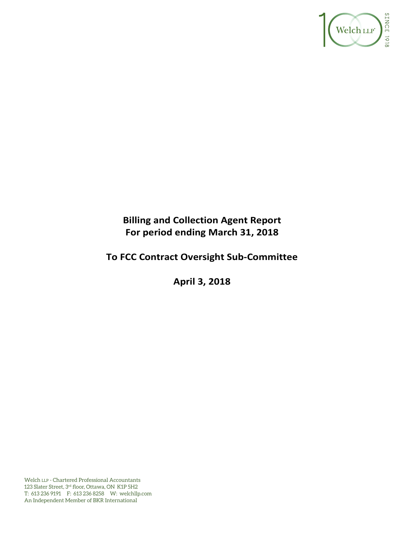

# **Billing and Collection Agent Report For period ending March 31, 2018**

# **To FCC Contract Oversight Sub‐Committee**

**April 3, 2018** 

Welch LLP - Chartered Professional Accountants 123 Slater Street, 3rd floor, Ottawa, ON K1P 5H2 T: 613 236 9191 F: 613 236 8258 W: welchllp.com An Independent Member of BKR International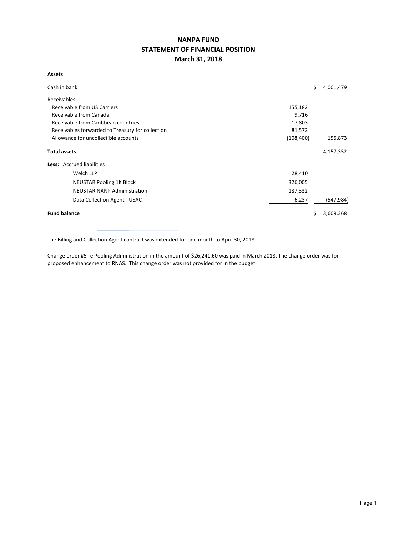## **NANPA FUND STATEMENT OF FINANCIAL POSITION March 31, 2018**

#### **Assets**

| Cash in bank                                               |         | \$ | 4,001,479  |  |  |  |  |  |
|------------------------------------------------------------|---------|----|------------|--|--|--|--|--|
| Receivables                                                |         |    |            |  |  |  |  |  |
| Receivable from US Carriers<br>155,182                     |         |    |            |  |  |  |  |  |
| Receivable from Canada<br>9,716                            |         |    |            |  |  |  |  |  |
| Receivable from Caribbean countries<br>17,803              |         |    |            |  |  |  |  |  |
| Receivables forwarded to Treasury for collection<br>81,572 |         |    |            |  |  |  |  |  |
| Allowance for uncollectible accounts<br>(108, 400)         |         |    |            |  |  |  |  |  |
| <b>Total assets</b>                                        |         |    | 4,157,352  |  |  |  |  |  |
| Less: Accrued liabilities                                  |         |    |            |  |  |  |  |  |
| Welch LLP                                                  | 28,410  |    |            |  |  |  |  |  |
| <b>NEUSTAR Pooling 1K Block</b>                            | 326,005 |    |            |  |  |  |  |  |
| <b>NEUSTAR NANP Administration</b>                         | 187,332 |    |            |  |  |  |  |  |
| Data Collection Agent - USAC                               | 6,237   |    | (547, 984) |  |  |  |  |  |
| <b>Fund balance</b>                                        |         |    | 3,609,368  |  |  |  |  |  |

The Billing and Collection Agent contract was extended for one month to April 30, 2018.

Change order #5 re Pooling Administration in the amount of \$26,241.60 was paid in March 2018. The change order was for proposed enhancement to RNAS. This change order was not provided for in the budget.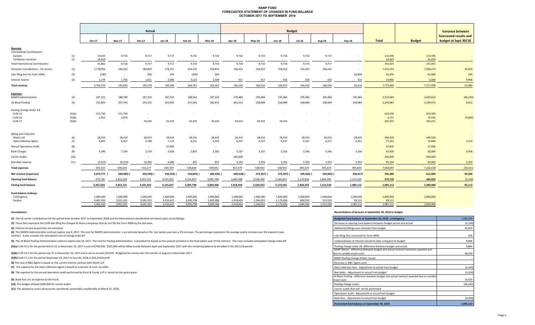#### **NANP FUND FORECASTED STATEMENT OF CHANGES IN FUND BALANCE OCTOBER 2017 TO SEPTEMBER 2018**

|                                                                                                              |                            | Actual                        |                               |                            |                           |                               |                           |                           | <b>Budget</b>             |                           |                           |                 |                  |                             |                              |                                                                           |  |
|--------------------------------------------------------------------------------------------------------------|----------------------------|-------------------------------|-------------------------------|----------------------------|---------------------------|-------------------------------|---------------------------|---------------------------|---------------------------|---------------------------|---------------------------|-----------------|------------------|-----------------------------|------------------------------|---------------------------------------------------------------------------|--|
|                                                                                                              |                            | Oct-17                        | <b>Nov-17</b>                 | <b>Dec-17</b>              | Jan-18                    | Feb-18                        | <b>Mar-18</b>             | <b>Apr-18</b>             | <b>May-18</b>             | <b>Jun-18</b>             | <b>Jul-18</b>             | <b>Aug-18</b>   | Sep-18           | <b>Total</b>                | <b>Budget</b>                | <b>Variance between</b><br>forecasted results and<br>budget at Sept 30/18 |  |
| Revenue<br><b>International Contributions</b><br>Canada                                                      | (1)                        | 19,433                        | 9,716                         | 9,717                      | 9,717                     | 9,716                         | 9,716<br>$\sim$           | 9,716<br>$\sim$           | 9,716<br>$\sim 100$       | 9,716                     | 9,716                     | 9,717           |                  | 116,596                     | 116,596                      | $\sim$                                                                    |  |
| Caribbean countries<br><b>Total International Contributions</b>                                              | (1)                        | 24,429<br>43,862              | $\sim$<br>9,716               | $\sim$<br>9,717            | 9,717                     | $\sim$<br>9,716               | 9,716                     | 9,716                     | 9,716                     | $\sim 10^{-1}$<br>9,716   | $\sim$<br>9,716           | 9,717           | $\sim$<br>$\sim$ | 24,429<br>141,025           | 24,429<br>141,025            |                                                                           |  |
| Domestic Contributions - US carriers                                                                         | (1)                        | 5,718,956                     | 184,162                       | 183,850                    | 178,191                   | 354,142                       | 150,876                   | 156,423                   | 156,423                   | 156,423                   | 156,423                   | 156,423         | $\sim$           | 7,552,292                   | 7,506,473                    | 45,819                                                                    |  |
| Late filing fees for Form 499A                                                                               | (2)                        | (200)                         | $\sim$                        | 200                        | 100                       | (200)                         | 300                       | $\sim$                    | $\sim$                    | $\sim$                    | $\sim$                    | $\sim$          | 65,000           | 65,200                      | 65,000                       | 200                                                                       |  |
| Interest income                                                                                              | (3)                        | 1,174                         | 1,765                         | 1,811                      | 2,086                     | 3,123                         | 2,509                     | 417                       | 417                       | 416                       | 416                       | 416             | 416              | 14,966                      | 5,000                        | 9,966                                                                     |  |
| <b>Total revenue</b>                                                                                         |                            | 5,763,792                     | 195,643                       | 195,578                    | 190,094                   | 366,781                       | 163,401                   | 166,556                   | 166,556                   | 166,555                   | 166,555                   | 166,556         | 65,416           | 7,773,483                   | 7,717,498                    | 55,985                                                                    |  |
| <b>Expenses</b>                                                                                              |                            |                               |                               |                            |                           |                               |                           |                           |                           |                           |                           |                 |                  |                             |                              |                                                                           |  |
| <b>NANPA Administration</b>                                                                                  | (4)                        | 187,332                       | 188,789                       | 187,332                    | 187,332                   | 188,562                       | 187,332                   | 270,484                   | 195,484                   | 195,484                   | 195,484                   | 195,484         | 195,484          | 2,374,583                   | 2,420,813                    | (46, 230)                                                                 |  |
| 1K Block Pooling                                                                                             | (5)                        | 255,804                       | 257,795                       | 254,315                    | 303,465                   | 257,581                       | 282,672                   | 302,510                   | 258,989                   | 258,989                   | 258,989                   | 258,989         | 258,989          | 3,209,087                   | 3,199,475                    | 9,612                                                                     |  |
| Pooling Change Order 3 B<br>- CLIN 15<br>- CLIN 16<br>CLIN 17                                                | (5)(a)<br>(5)(b)<br>(5)(b) | 211,750<br>2,052<br>$\sim$    | 211,750<br>2,679<br>$\sim$    | $\sim$<br>$\sim$<br>43,333 | $\sim$<br>43,333          | 43,333                        | 43,333                    | $\sim$<br>43,333          | $\sim$<br>43,333          | 43,333                    |                           |                 |                  | 423,500<br>4,731<br>303,331 | 423,500<br>14,535<br>303,331 | (9,804)<br>$\sim$                                                         |  |
| <b>Billing and Collection</b><br>Welch LLP<br><b>Data Collection Agent</b><br><b>Annual Operations Audit</b> | (6)<br>(7)<br>(8)          | 28,410<br>6,843<br>$\sim$ $-$ | 28,410<br>6,927<br>$\sim$ $-$ | 28,410<br>5,798<br>$\sim$  | 28,410<br>7,113<br>47,000 | 28,410<br>6,253<br>$\sim$ $-$ | 28,410<br>6,593<br>$\sim$ | 28,410<br>6,237<br>$\sim$ | 28,410<br>6,237<br>$\sim$ | 28,410<br>6,237<br>$\sim$ | 28,410<br>6,237<br>$\sim$ | 28,410<br>6,237 | 28,410<br>6,451  | 340,920<br>77,163<br>47,000 | 340,920<br>74,844<br>47,000  | $\sim$<br>2,319                                                           |  |
| <b>Bank Charges</b>                                                                                          | (9)                        | 4,346                         | 7,194                         | 3,729                      | 3,026                     | 2,803                         | 2,362                     | 3,167                     | 3,167                     | 3,166                     | 3,166                     | 3,166           | 3,166            | 42,458                      | 38,000                       | 4,458                                                                     |  |
| Carrier Audits                                                                                               | (10)                       | $\sim$                        | $\sim$                        | $\sim$                     | $\sim$                    | $\sim$                        | $\sim$                    | 200,000                   | $\sim$                    | $\sim$                    | $\sim$                    | $\sim$          | $\sim$           | 200,000                     | 200,000                      |                                                                           |  |
| Bad debt expense                                                                                             | (11)                       | (5, 522)                      | (6, 919)                      | 32,260                     | 6,680                     | 302                           | 871                       | 3,333                     | 3,333                     | 3,333                     | 3,333                     | 3,333           | 3,333            | 45,324                      | 40,000                       | 5,324                                                                     |  |
| <b>Total expenses</b>                                                                                        |                            | 691,015                       | 696,625                       | 555,177                    | 626,359                   | 526,640                       | 549,831                   | 857,474                   | 538,953                   | 538,952                   | 495,619                   | 495,619         | 495,833          | 7,068,097                   | 7,102,418                    | (34, 321)                                                                 |  |
| Net revenue (expenses)                                                                                       |                            | 5,072,777                     | 500,982)                      | 359,599)                   | 436,265) (                | 159,859)                      | 386,430)                  | 690,918)                  | 372,397) (                | 372,397) (                | 329,064)                  | 329,063) (      | 430,417)         | 705,386                     | 615,080                      | 90,306                                                                    |  |
| <b>Opening fund balance</b>                                                                                  |                            | 379,726                       | 5,452,503                     | 4,951,521                  | 4,591,922                 | 4,155,657                     | 3,995,798                 | 3,609,368                 | 2,918,450                 | 2,546,053                 | 2,173,656                 | 1,844,592       | 1,515,529        | 379,726                     | 384,920                      | (5, 194)                                                                  |  |
| <b>Closing fund balance</b>                                                                                  |                            | 5,452,503                     | 4,951,521                     | 4,591,922                  | 4,155,657                 | 3,995,798                     | 3,609,368                 | 2,918,450                 | 2,546,053                 | 2,173,656                 | 1,844,592                 | 1,515,529       | 1,085,112        | 1,085,112                   | 1,000,000                    | 85,112                                                                    |  |
| Fund balance makeup:<br>Contingency                                                                          |                            | 1,000,000                     | 1.000.000                     | 1,000,000                  | 1,000,000                 | 1,000,000                     | 1,000,000                 | 1,000,000                 | 1,000,000                 | 1,000,000                 | 1.000.000                 | 1,000,000       | 1,000,000        | 1,000,000                   | 1,000,000                    |                                                                           |  |

5,452,503 4,951,521 4,591,922 4,155,657 3,995,798 3,609,368 2,546,053 2,918,450 2,173,656 1,844,592 1,515,529 1,085,112 1,085,112 1,000,000

Surplus 4,452,503 3,951,521 3,591,922 3,155,657 2,995,798 2,609,368 1,918,450 1,173,656 84,592 515,529 85,112 85,112 -

**(1)** The US carrier contributions for the period from October 2017 to September 2018 and the International contributions are based upon actual billings.

(2) These fees represent the \$100 late filing fee charged to those companies that do not file the Form 499A by the due date.

**(3)** Interest income projections are estimates

(4) The NANPA Administration contract expires July 8, 2017. The cost for NANPA administration is an estimate based on the last option year plus a 3% increase. The percentage represents the average yearly increase over the contract. It also includes the anticipated cost of change order #7

(5) The 1K Block Pooling Administration contract expires July 14, 2017. The cost for Pooling Administration is provided for based on the amount provided in the final option year of the contract. The costs included anticipa

(5)(a) CLIN 15 is for the period March 22 to November 22, 2017 a cost of \$748,500. \$325,000 will be billed evenly between April and September 2017 with the remaining balance to be billed in the 2017/18 period.

(5)(b) CLIN 16 is for the period July 31 to November 24, 2017 and is not to exceed \$29,070. Budgeted for evenly over the months of August to November 2017

**(5)(b)** CLIN 17 is for the period November 24, 2017 to June 30, 2018 at \$43,333/month ‐

**(6)** The cost of B&C Agent is based on the current interim contract with Welch LLP

**(7)** The expense for the Data Collection Agent is based on estimate of costs by USAC.

**(8)** The expense for the annual operations audit performed by Ernst & Young LLP is based on the quote given.

**(9)** Bank fees are an expense to the Fund.

**(10)** The budget allowed \$200,000 for carrier audits.

**(11)**  The allowance covers all accounts considered potentially uncollectible at March 31, 2018.

#### **Assumptions: Reconciliation of forecast at September 30, 2018 to budget**

| Budgeted fund balance at September 30, 2018 - contingency                                                        | 1,000,000 |
|------------------------------------------------------------------------------------------------------------------|-----------|
| Decrease in opening fund balance between budget period and actual                                                | (5, 194)  |
| Additional billings over estimate from budget                                                                    | 45,819    |
| Late filing fees (reversal) for Form 499A                                                                        | 200       |
| Underestimate of interest earned to date compared to budget                                                      | 9,966     |
| Pooling change order 3B -difference between budget and actual                                                    | 9,804     |
| NANP Admin - difference between budget and actual contract extension awarded and<br>due to variable travel costs | 46.230    |
| NANP Pooling Change Orders Issued                                                                                |           |
| Decrease in B&C Agent costs                                                                                      |           |
| Data Collection fees - Adjustment to actual from budget                                                          | (2, 319)  |
| Bad debts - Adjustment to actual from budget                                                                     | (5, 324)  |
| IK Block Pooling - difference between budget and actual contract awarded due to variable<br>travel costs         | 16,630    |
| Pooling change orders                                                                                            | (26, 242) |
| Carrier audits that will not be performed                                                                        |           |
| Operations Audit - Adjustment to actual from budget                                                              |           |
| Bank fees - Adjustment to actual from budget                                                                     | (4, 458)  |
| Forecasted fund balance at September 30, 2018                                                                    | 1,085,112 |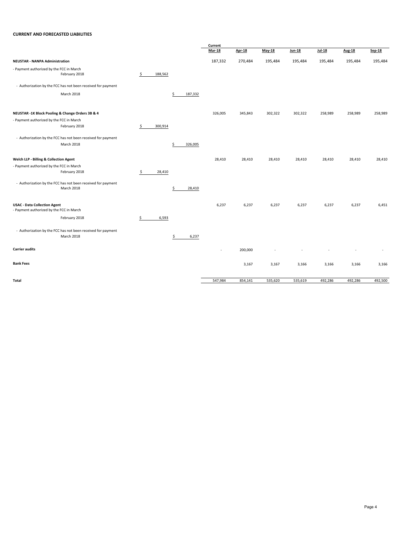#### **CURRENT AND FORECASTED LIABILITIES**

|                                                                                 |               |               | Current       |               |         |               |               |               |         |
|---------------------------------------------------------------------------------|---------------|---------------|---------------|---------------|---------|---------------|---------------|---------------|---------|
|                                                                                 |               |               | <b>Mar-18</b> | <b>Apr-18</b> | May-18  | <b>Jun-18</b> | <b>Jul-18</b> | <b>Aug-18</b> | Sep-18  |
| <b>NEUSTAR - NANPA Administration</b>                                           |               |               | 187,332       | 270,484       | 195,484 | 195,484       | 195,484       | 195,484       | 195,484 |
| - Payment authorized by the FCC in March<br>February 2018                       | \$<br>188,562 |               |               |               |         |               |               |               |         |
| - Authorization by the FCC has not been received for payment                    |               |               |               |               |         |               |               |               |         |
| March 2018                                                                      |               | \$<br>187,332 |               |               |         |               |               |               |         |
| NEUSTAR -1K Block Pooling & Change Orders 3B & 4                                |               |               | 326,005       | 345,843       | 302,322 | 302,322       | 258,989       | 258,989       | 258,989 |
| - Payment authorized by the FCC in March<br>February 2018                       | \$<br>300,914 |               |               |               |         |               |               |               |         |
| - Authorization by the FCC has not been received for payment                    |               |               |               |               |         |               |               |               |         |
| March 2018                                                                      |               | \$<br>326,005 |               |               |         |               |               |               |         |
| Welch LLP - Billing & Collection Agent                                          |               |               | 28,410        | 28,410        | 28,410  | 28,410        | 28,410        | 28,410        | 28,410  |
| - Payment authorized by the FCC in March<br>February 2018                       | \$<br>28,410  |               |               |               |         |               |               |               |         |
| - Authorization by the FCC has not been received for payment<br>March 2018      |               | \$<br>28,410  |               |               |         |               |               |               |         |
| <b>USAC - Data Collection Agent</b><br>- Payment authorized by the FCC in March |               |               | 6,237         | 6,237         | 6,237   | 6,237         | 6,237         | 6,237         | 6,451   |
| February 2018                                                                   | \$<br>6,593   |               |               |               |         |               |               |               |         |
| - Authorization by the FCC has not been received for payment<br>March 2018      |               | \$<br>6,237   |               |               |         |               |               |               |         |
| <b>Carrier audits</b>                                                           |               |               | ٠             | 200,000       |         |               |               |               | ٠       |
| <b>Bank Fees</b>                                                                |               |               |               | 3,167         | 3,167   | 3,166         | 3,166         | 3,166         | 3,166   |
| Total                                                                           |               |               | 547,984       | 854,141       | 535,620 | 535,619       | 492,286       | 492,286       | 492,500 |
|                                                                                 |               |               |               |               |         |               |               |               |         |